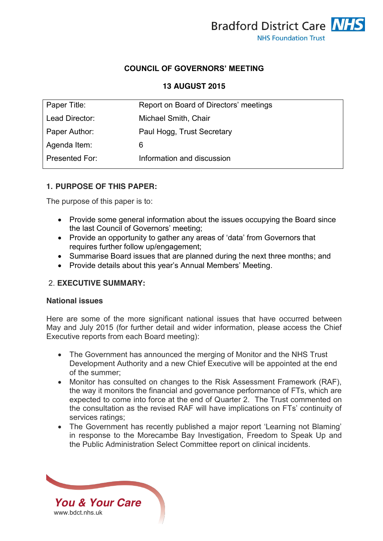

### **COUNCIL OF GOVERNORS' MEETING**

### **13 AUGUST 2015**

| Report on Board of Directors' meetings |
|----------------------------------------|
| Michael Smith, Chair                   |
| Paul Hogg, Trust Secretary             |
| 6                                      |
| Information and discussion             |
|                                        |

## **1. PURPOSE OF THIS PAPER:**

The purpose of this paper is to:

- Provide some general information about the issues occupying the Board since the last Council of Governors' meeting;
- Provide an opportunity to gather any areas of 'data' from Governors that requires further follow up/engagement;
- Summarise Board issues that are planned during the next three months; and
- Provide details about this year's Annual Members' Meeting.

### 2. **EXECUTIVE SUMMARY:**

#### **National issues**

Here are some of the more significant national issues that have occurred between May and July 2015 (for further detail and wider information, please access the Chief Executive reports from each Board meeting):

- The Government has announced the merging of Monitor and the NHS Trust Development Authority and a new Chief Executive will be appointed at the end of the summer;
- Monitor has consulted on changes to the Risk Assessment Framework (RAF), the way it monitors the financial and governance performance of FTs, which are expected to come into force at the end of Quarter 2. The Trust commented on the consultation as the revised RAF will have implications on FTs' continuity of services ratings;
- The Government has recently published a major report 'Learning not Blaming' in response to the Morecambe Bay Investigation, Freedom to Speak Up and the Public Administration Select Committee report on clinical incidents.

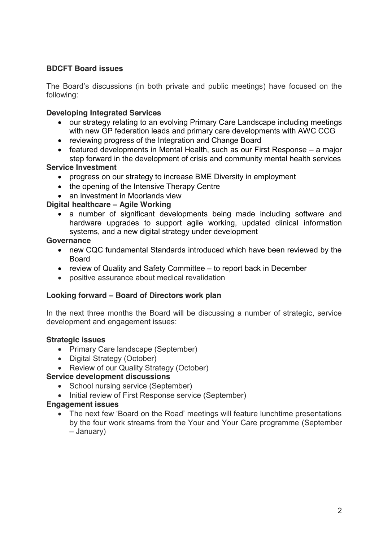# **BDCFT Board issues**

The Board's discussions (in both private and public meetings) have focused on the following:

# **Developing Integrated Services**

- our strategy relating to an evolving Primary Care Landscape including meetings with new GP federation leads and primary care developments with AWC CCG
- reviewing progress of the Integration and Change Board
- **•** featured developments in Mental Health, such as our First Response a major step forward in the development of crisis and community mental health services

## **Service Investment**

- progress on our strategy to increase BME Diversity in employment
- the opening of the Intensive Therapy Centre
- an investment in Moorlands view

## **Digital healthcare – Agile Working**

• a number of significant developments being made including software and hardware upgrades to support agile working, updated clinical information systems, and a new digital strategy under development

### **Governance**

- new CQC fundamental Standards introduced which have been reviewed by the Board
- review of Quality and Safety Committee to report back in December
- positive assurance about medical revalidation

# **Looking forward – Board of Directors work plan**

In the next three months the Board will be discussing a number of strategic, service development and engagement issues:

### **Strategic issues**

- Primary Care landscape (September)
- Digital Strategy (October)
- Review of our Quality Strategy (October)

## **Service development discussions**

- School nursing service (September)
- Initial review of First Response service (September)

### **Engagement issues**

• The next few 'Board on the Road' meetings will feature lunchtime presentations by the four work streams from the Your and Your Care programme (September – January)